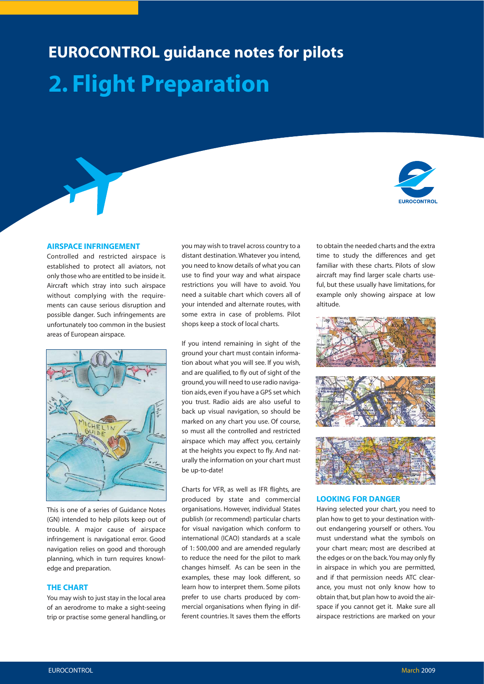## **EUROCONTROL guidance notes for pilots 2. Flight Preparation**

# **FUROCONTROL**

#### **AIRSPACE INFRINGEMENT**

Controlled and restricted airspace is established to protect all aviators, not only those who are entitled to be inside it. Aircraft which stray into such airspace without complying with the requirements can cause serious disruption and possible danger. Such infringements are unfortunately too common in the busiest areas of European airspace.



This is one of a series of Guidance Notes (GN) intended to help pilots keep out of trouble. A major cause of airspace infringement is navigational error. Good navigation relies on good and thorough planning, which in turn requires knowledge and preparation.

#### **THE CHART**

You may wish to just stay in the local area of an aerodrome to make a sight-seeing trip or practise some general handling, or

you may wish to travel across country to a distant destination. Whatever you intend, you need to know details of what you can use to find your way and what airspace restrictions you will have to avoid. You need a suitable chart which covers all of your intended and alternate routes, with some extra in case of problems. Pilot shops keep a stock of local charts.

If you intend remaining in sight of the ground your chart must contain information about what you will see. If you wish, and are qualified, to fly out of sight of the ground, you will need to use radio navigation aids, even if you have a GPS set which you trust. Radio aids are also useful to back up visual navigation, so should be marked on any chart you use. Of course, so must all the controlled and restricted airspace which may affect you, certainly at the heights you expect to fly. And naturally the information on your chart must be up-to-date!

Charts for VFR, as well as IFR flights, are produced by state and commercial organisations. However, individual States publish (or recommend) particular charts for visual navigation which conform to international (ICAO) standards at a scale of 1: 500,000 and are amended regularly to reduce the need for the pilot to mark changes himself. As can be seen in the examples, these may look different, so learn how to interpret them. Some pilots prefer to use charts produced by commercial organisations when flying in different countries. It saves them the efforts

to obtain the needed charts and the extra time to study the differences and get familiar with these charts. Pilots of slow aircraft may find larger scale charts useful, but these usually have limitations, for example only showing airspace at low altitude.



#### **LOOKING FOR DANGER**

Having selected your chart, you need to plan how to get to your destination without endangering yourself or others. You must understand what the symbols on your chart mean; most are described at the edges or on the back.You may only fly in airspace in which you are permitted, and if that permission needs ATC clearance, you must not only know how to obtain that, but plan how to avoid the airspace if you cannot get it. Make sure all airspace restrictions are marked on your